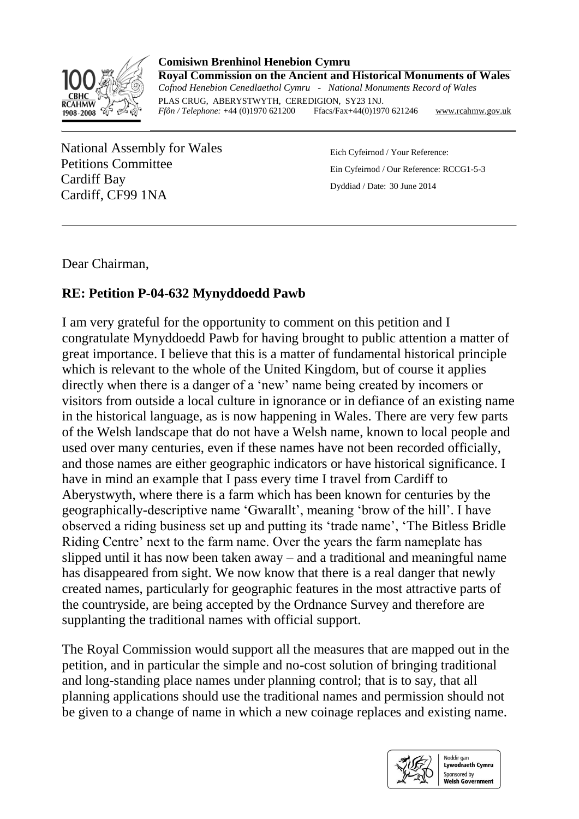

**Comisiwn Brenhinol Henebion Cymru Royal Commission on the Ancient and Historical Monuments of Wales** *Cofnod Henebion Cenedlaethol Cymru - National Monuments Record of Wales* PLAS CRUG, ABERYSTWYTH, CEREDIGION, SY23 1NJ.<br>Ffôn / Telephone: +44 (0)1970 621200 Ffacs/Fax+44(0)1970 621246 *Ffôn / Telephone:* +44 (0)1970 621200 Ffacs/Fax+44(0)1970 621246 [www.rcahmw.gov.uk](http://www.rcahmw.gov.uk/)

National Assembly for Wales Petitions Committee Cardiff Bay Cardiff, CF99 1NA

Eich Cyfeirnod / Your Reference: Ein Cyfeirnod / Our Reference: RCCG1-5-3 Dyddiad / Date: 30 June 2014

Dear Chairman,

## **RE: Petition P-04-632 Mynyddoedd Pawb**

I am very grateful for the opportunity to comment on this petition and I congratulate Mynyddoedd Pawb for having brought to public attention a matter of great importance. I believe that this is a matter of fundamental historical principle which is relevant to the whole of the United Kingdom, but of course it applies directly when there is a danger of a 'new' name being created by incomers or visitors from outside a local culture in ignorance or in defiance of an existing name in the historical language, as is now happening in Wales. There are very few parts of the Welsh landscape that do not have a Welsh name, known to local people and used over many centuries, even if these names have not been recorded officially, and those names are either geographic indicators or have historical significance. I have in mind an example that I pass every time I travel from Cardiff to Aberystwyth, where there is a farm which has been known for centuries by the geographically-descriptive name 'Gwarallt', meaning 'brow of the hill'. I have observed a riding business set up and putting its 'trade name', 'The Bitless Bridle Riding Centre' next to the farm name. Over the years the farm nameplate has slipped until it has now been taken away – and a traditional and meaningful name has disappeared from sight. We now know that there is a real danger that newly created names, particularly for geographic features in the most attractive parts of the countryside, are being accepted by the Ordnance Survey and therefore are supplanting the traditional names with official support.

The Royal Commission would support all the measures that are mapped out in the petition, and in particular the simple and no-cost solution of bringing traditional and long-standing place names under planning control; that is to say, that all planning applications should use the traditional names and permission should not be given to a change of name in which a new coinage replaces and existing name.